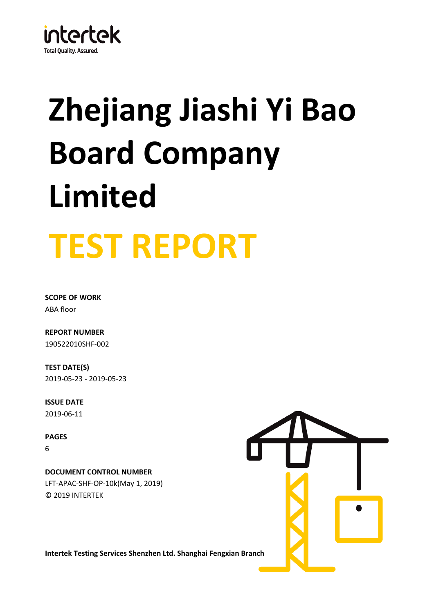

# **TEST REPORT Zhejiang Jiashi Yi Bao Board Company Limited**

**SCOPE OF WORK** ABA floor

**REPORT NUMBER**

190522010SHF-002

**TEST DATE(S)** 2019-05-23 - 2019-05-23

**ISSUE DATE** 2019-06-11

**PAGES** 6

© 2019 INTERTEK LFT-APAC-SHF-OP-10k(May 1, 2019) **DOCUMENT CONTROL NUMBER**



**Intertek Testing Services Shenzhen Ltd. Shanghai Fengxian Branch**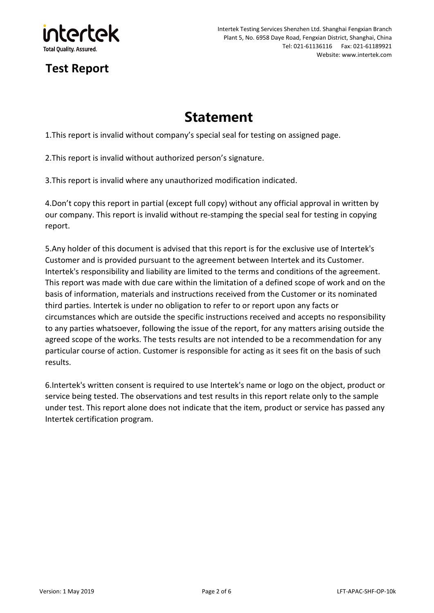

## Intertek Testing Services Shenzhen Ltd. Shanghai Fengxian Branch Plant 5, No. 6958 Daye Road, Fengxian District, Shanghai, China Tel: 021-61136116 Fax: 021-61189921 Website: www.intertek.com

# **Test Report**

# **Statement**

1.This report is invalid without company's special seal for testing on assigned page.

2.This report is invalid without authorized person's signature.

3.This report is invalid where any unauthorized modification indicated.

4.Don't copy this report in partial (except full copy) without any official approval in written by our company. This report is invalid without re-stamping the special seal for testing in copying report.

5.Any holder of this document is advised that this report is for the exclusive use of Intertek's Customer and is provided pursuant to the agreement between Intertek and its Customer. Intertek's responsibility and liability are limited to the terms and conditions of the agreement. This report was made with due care within the limitation of a defined scope of work and on the basis of information, materials and instructions received from the Customer or its nominated third parties. Intertek is under no obligation to refer to or report upon any facts or circumstances which are outside the specific instructions received and accepts no responsibility to any parties whatsoever, following the issue of the report, for any matters arising outside the agreed scope of the works. The tests results are not intended to be a recommendation for any particular course of action. Customer is responsible for acting as it sees fit on the basis of such results.

6.Intertek's written consent is required to use Intertek's name or logo on the object, product or service being tested. The observations and test results in this report relate only to the sample under test. This report alone does not indicate that the item, product or service has passed any Intertek certification program.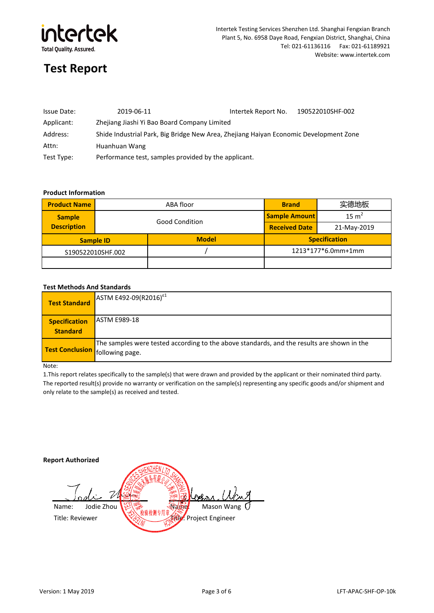

| Issue Date: | 2019-06-11                                                                            | Intertek Report No. | 190522010SHF-002 |
|-------------|---------------------------------------------------------------------------------------|---------------------|------------------|
| Applicant:  | Zhejiang Jiashi Yi Bao Board Company Limited                                          |                     |                  |
| Address:    | Shide Industrial Park, Big Bridge New Area, Zhejiang Haiyan Economic Development Zone |                     |                  |
| Attn:       | Huanhuan Wang                                                                         |                     |                  |
| Test Type:  | Performance test, samples provided by the applicant.                                  |                     |                  |

## **Product Information**

| <b>Product Name</b> |  | ABA floor             | <b>Brand</b>         | 实德地板             |
|---------------------|--|-----------------------|----------------------|------------------|
| <b>Sample</b>       |  | <b>Good Condition</b> | <b>Sample Amount</b> | $15 \text{ m}^2$ |
| <b>Description</b>  |  |                       | <b>Received Date</b> | 21-May-2019      |
| <b>Sample ID</b>    |  | <b>Model</b>          | <b>Specification</b> |                  |
| S190522010SHF.002   |  |                       | 1213*177*6.0mm+1mm   |                  |
|                     |  |                       |                      |                  |

### **Test Methods And Standards**

| <b>Test Standard</b>                    | ASTM E492-09(R2016) <sup><math>E</math>1</sup>                                                                                       |
|-----------------------------------------|--------------------------------------------------------------------------------------------------------------------------------------|
| <b>Specification</b><br><b>Standard</b> | <b>ASTM E989-18</b>                                                                                                                  |
|                                         | The samples were tested according to the above standards, and the results are shown in the<br><b>Test Conclusion</b> following page. |

#### Note:

1.This report relates specifically to the sample(s) that were drawn and provided by the applicant or their nominated third party. The reported result(s) provide no warranty or verification on the sample(s) representing any specific goods and/or shipment and only relate to the sample(s) as received and tested.

**Report Authorized** ሥ Mason Wang Name: Jodie Zhou | 台泰 - 新疆 Title: Reviewer Title: Reviewer Title: Reviewer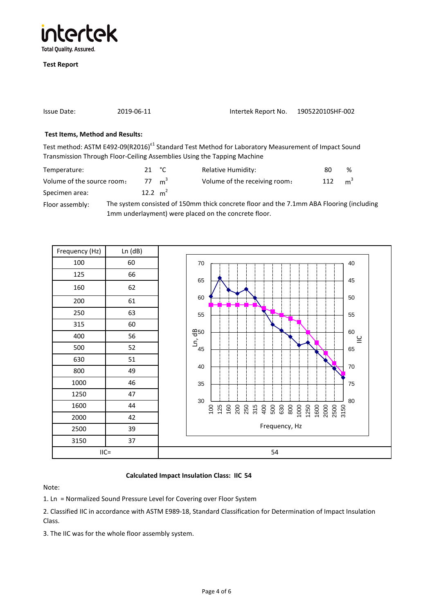

| Issue Date:                                                                                                                                                                                                                                                                                      | 2019-06-11 |                | Intertek Report No.                                                                                                                                                                                                                                                                              | 190522010SHF-002 |   |
|--------------------------------------------------------------------------------------------------------------------------------------------------------------------------------------------------------------------------------------------------------------------------------------------------|------------|----------------|--------------------------------------------------------------------------------------------------------------------------------------------------------------------------------------------------------------------------------------------------------------------------------------------------|------------------|---|
| <b>Test Items, Method and Results:</b>                                                                                                                                                                                                                                                           |            |                |                                                                                                                                                                                                                                                                                                  |                  |   |
|                                                                                                                                                                                                                                                                                                  |            |                | Test method: ASTM E492-09(R2016) <sup><math>E1</math></sup> Standard Test Method for Laboratory Measurement of Impact Sound                                                                                                                                                                      |                  |   |
|                                                                                                                                                                                                                                                                                                  |            |                | Transmission Through Floor-Ceiling Assemblies Using the Tapping Machine                                                                                                                                                                                                                          |                  |   |
| Temperature:                                                                                                                                                                                                                                                                                     |            | 21 $\degree$ C | <b>Relative Humidity:</b>                                                                                                                                                                                                                                                                        | 80               | % |
| $\mathbf{v}$ and $\mathbf{v}$ and $\mathbf{v}$ and $\mathbf{v}$ and $\mathbf{v}$ and $\mathbf{v}$ and $\mathbf{v}$ and $\mathbf{v}$ and $\mathbf{v}$ and $\mathbf{v}$ and $\mathbf{v}$ and $\mathbf{v}$ and $\mathbf{v}$ and $\mathbf{v}$ and $\mathbf{v}$ and $\mathbf{v}$ and $\mathbf{v}$ and |            |                | $\mathbf{v}$ and $\mathbf{v}$ and $\mathbf{v}$ and $\mathbf{v}$ and $\mathbf{v}$ and $\mathbf{v}$ and $\mathbf{v}$ and $\mathbf{v}$ and $\mathbf{v}$ and $\mathbf{v}$ and $\mathbf{v}$ and $\mathbf{v}$ and $\mathbf{v}$ and $\mathbf{v}$ and $\mathbf{v}$ and $\mathbf{v}$ and $\mathbf{v}$ and |                  |   |

 $m<sup>3</sup>$ Specimen area: Volume of the source room: 77  $m<sup>3</sup>$ Volume of the receiving room: 112 12.2  $m^2$ 

Floor assembly: The system consisted of 150mm thick concrete floor and the 7.1mm ABA Flooring (including 1mm underlayment) were placed on the concrete floor.



# **Calculated Impact Insulation Class: IIC 54**

Note:

1. Ln = Normalized Sound Pressure Level for Covering over Floor System

2. Classified IIC in accordance with ASTM E989-18, Standard Classification for Determination of Impact Insulation Class.

3. The IIC was for the whole floor assembly system.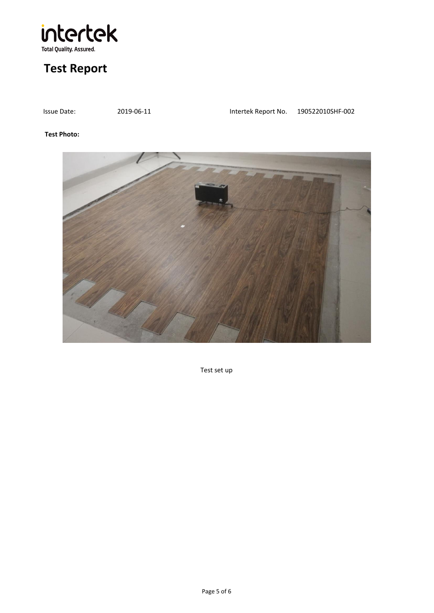

| Issue Date: | 2019-06-11 | Intertek Report No. | 190522010SHF-002 |
|-------------|------------|---------------------|------------------|

## **Test Photo:**



Test set up